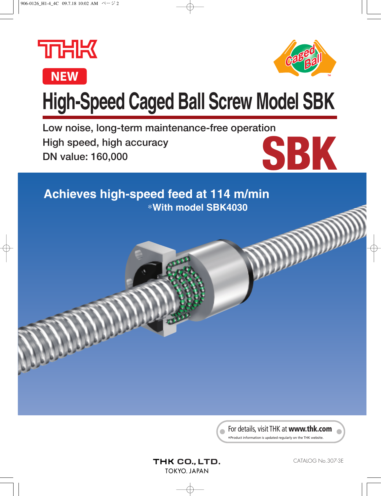



# **High-Speed Caged Ball Screw Model SBK**

**Low noise, long-term maintenance-free operation High speed, high accuracy DN value: 160,000**

**SBK**

**Achieves high-speed feed at 114 m/min** ∗**With model SBK4030**

> For details, visit THK at **www.thk.com** \*Product information is updated regularly on the THK website.

THK CO., LTD. **TOKYO, JAPAN**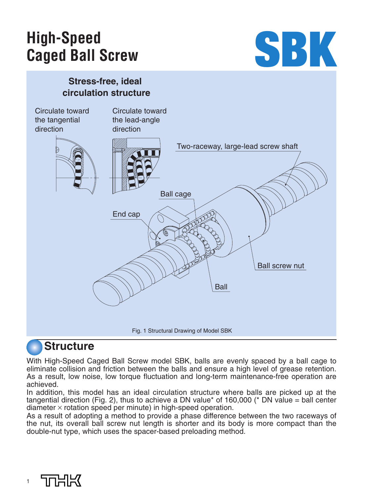# **High-Speed Caged Ball Screw**



### **Stress-free, ideal circulation structure**



# **Structure**

With High-Speed Caged Ball Screw model SBK, balls are evenly spaced by a ball cage to eliminate collision and friction between the balls and ensure a high level of grease retention. As a result, low noise, low torque fluctuation and long-term maintenance-free operation are achieved.

In addition, this model has an ideal circulation structure where balls are picked up at the tangential direction (Fig. 2), thus to achieve a DN value\* of 160,000 (\* DN value = ball center diameter  $\times$  rotation speed per minute) in high-speed operation.

As a result of adopting a method to provide a phase difference between the two raceways of the nut, its overall ball screw nut length is shorter and its body is more compact than the double-nut type, which uses the spacer-based preloading method.

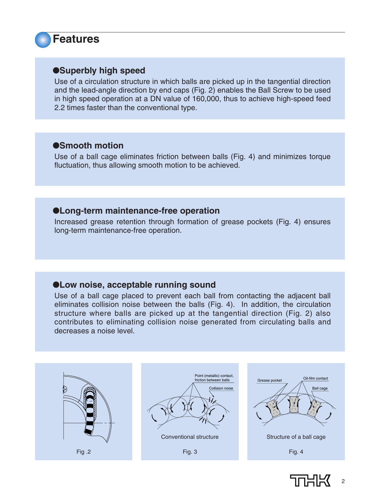**Features**

### ●**Superbly high speed**

Use of a circulation structure in which balls are picked up in the tangential direction and the lead-angle direction by end caps (Fig. 2) enables the Ball Screw to be used in high speed operation at a DN value of 160,000, thus to achieve high-speed feed 2.2 times faster than the conventional type.

### ●**Smooth motion**

Use of a ball cage eliminates friction between balls (Fig. 4) and minimizes torque fluctuation, thus allowing smooth motion to be achieved.

### ●**Long-term maintenance-free operation**

Increased grease retention through formation of grease pockets (Fig. 4) ensures long-term maintenance-free operation.

### ●**Low noise, acceptable running sound**

Use of a ball cage placed to prevent each ball from contacting the adjacent ball eliminates collision noise between the balls (Fig. 4). In addition, the circulation structure where balls are picked up at the tangential direction (Fig. 2) also contributes to eliminating collision noise generated from circulating balls and decreases a noise level.



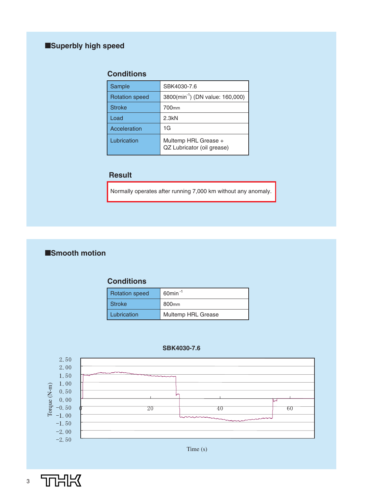### ■**Superbly high speed**

### **Conditions**

| Sample                | SBK4030-7.6                                        |
|-----------------------|----------------------------------------------------|
| <b>Rotation speed</b> | 3800(min <sup>-1</sup> ) (DN value: 160,000)       |
| <b>Stroke</b>         | 700 <sub>mm</sub>                                  |
| Load                  | 2.3kN                                              |
| Acceleration          | 1G                                                 |
| Lubrication           | Multemp HRL Grease +<br>QZ Lubricator (oil grease) |

### **Result**

Normally operates after running 7,000 km without any anomaly.

### ■**Smooth motion**

### **Conditions**

| <b>Rotation speed</b> | $60$ min <sup>-1</sup> |
|-----------------------|------------------------|
| <b>Stroke</b>         | 800 <sub>mm</sub>      |
| Lubrication           | Multemp HRL Grease     |

#### **SBK4030-7.6**



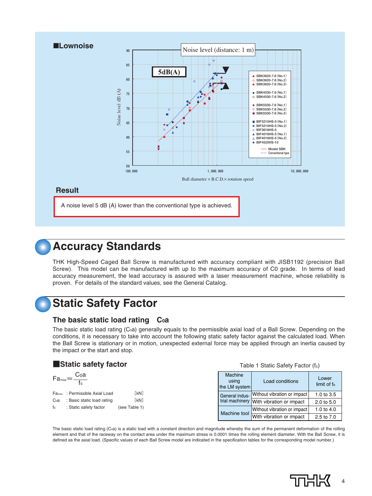

# **Accuracy Standards**

THK High-Speed Caged Ball Screw is manufactured with accuracy compliant with JISB1192 (precision Ball Screw). This model can be manufactured with up to the maximum accuracy of C0 grade. In terms of lead accuracy measurement, the lead accuracy is assured with a laser measurement machine, whose reliability is proven. For details of the standard values, see the General Catalog.

# **Static Safety Factor**

### **The basic static load rating C0a**

The basic static load rating (C<sub>0</sub>a) generally equals to the permissible axial load of a Ball Screw. Depending on the conditions, it is necessary to take into account the following static safety factor against the calculated load. When the Ball Screw is stationary or in motion, unexpected external force may be applied through an inertia caused by the impact or the start and stop.

### ■**Static safety factor**

$$
Fa_{\text{max}} = \frac{C_0a}{f_s}
$$

| Fa <sub>max</sub> | : Permissible Axial Load   | [kN]          |
|-------------------|----------------------------|---------------|
| C <sub>0</sub> a  | : Basic static load rating | [kN]          |
| $f_S$             | : Static safety factor     | (see Table 1) |

#### Table 1 Static Safety Factor (fs)

| Machine<br>using<br>the LM system | Load conditions                          | Lower<br>limit of fs. |
|-----------------------------------|------------------------------------------|-----------------------|
| General indus-                    | Without vibration or impact              | 1.0 to 3.5            |
|                                   | trial machinery With vibration or impact | 2.0 to 5.0            |
| <b>Machine tool</b>               | Without vibration or impact              | 1.0 to 4.0            |
|                                   | With vibration or impact                 | 2.5 to 7.0            |

The basic static load rating (Coa) is a static load with a constant direction and magnitude whereby the sum of the permanent deformation of the rolling element and that of the raceway on the contact area under the maximum stress is 0.0001 times the rolling element diameter. With the Ball Screw, it is defined as the axial load. (Specific values of each Ball Screw model are indicated in the specification tables for the corresponding model number.)

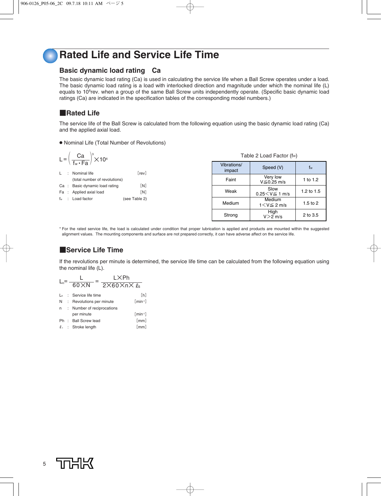### **Rated Life and Service Life Time**

### **Basic dynamic load rating Ca**

The basic dynamic load rating (Ca) is used in calculating the service life when a Ball Screw operates under a load. The basic dynamic load rating is a load with interlocked direction and magnitude under which the nominal life (L) equals to 10<sup>6</sup>rev. when a group of the same Ball Screw units independently operate. (Specific basic dynamic load ratings (Ca) are indicated in the specification tables of the corresponding model numbers.)

### ■**Rated Life**

 $\overline{1}$ 

 $\Delta$ 

The service life of the Ball Screw is calculated from the following equation using the basic dynamic load rating (Ca) and the applied axial load.

● Nominal Life (Total Number of Revolutions)

|    |                | L = $\left(\frac{\text{Ca}}{\text{f}_{\text{w}} \cdot \text{Fa}}\right)^3 \times 10^6$ |               |  |
|----|----------------|----------------------------------------------------------------------------------------|---------------|--|
|    |                |                                                                                        |               |  |
|    | ÷              | Nominal life                                                                           | [rev]         |  |
|    |                | (total number of revolutions)                                                          |               |  |
|    |                | Ca : Basic dynamic load rating                                                         | [N]           |  |
|    |                | Fa : Applied axial load                                                                | [N]           |  |
| fw | $\mathbb{R}^n$ | Load factor                                                                            | (see Table 2) |  |
|    |                |                                                                                        |               |  |
|    |                |                                                                                        |               |  |
|    |                |                                                                                        |               |  |

| Vibrations/<br>impact | Speed (V)                     | fw         |
|-----------------------|-------------------------------|------------|
| Faint                 | Very low<br>$V \leq 0.25$ m/s | 1 to 1.2   |
| Weak                  | Slow<br>$0.25 < V \le 1$ m/s  | 1.2 to 1.5 |
| Medium                | Medium<br>$1 < V \leq 2$ m/s  | 1.5 to 2   |
|                       | Hiah                          |            |

Table 2 Load Factor (fw)

 $V > 2$  m/s

2 to 3.5

\* For the rated service life, the load is calculated under condition that proper lubrication is applied and products are mounted within the suggested alignment values. The mounting components and surface are not prepared correctly, it can have adverse affect on the service life.

Strong

### ■**Service Life Time**

If the revolutions per minute is determined, the service life time can be calculated from the following equation using the nominal life (L).

$$
L_h = \frac{L}{60 \times N} = \frac{L \times Ph}{2 \times 60 \times n \times \ell_s}
$$
  
\n
$$
L_h : \text{Service life time} \qquad [h]
$$
  
\n
$$
N : \text{Revolutions per minute} \qquad [min^{-1}]
$$
  
\n
$$
n : Number of reciprocations\nper minute \qquad [min^{-1}]
$$
  
\n
$$
Ph : Ball screw lead \qquad [mm]
$$
  
\n
$$
\ell_s : \text{Stroke length} \qquad [mm]
$$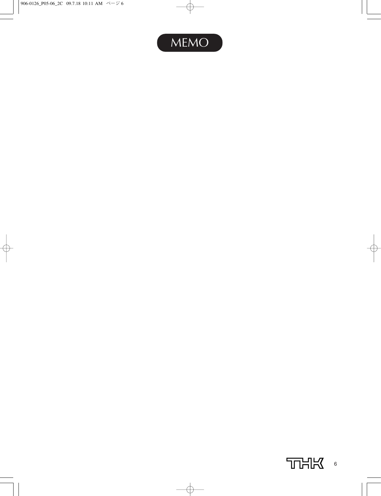

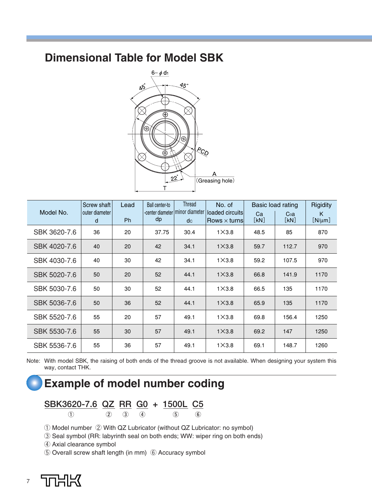### **Dimensional Table for Model SBK**



|              | Screw shaft         | Lead      | Ball center-to | Thread                                  | No. of                                 |            | Basic load rating | Rigidity         |
|--------------|---------------------|-----------|----------------|-----------------------------------------|----------------------------------------|------------|-------------------|------------------|
| Model No.    | outer diameter<br>d | <b>Ph</b> | dp             | -center diameter   minor diameter<br>dc | loaded circuits<br>Rows $\times$ turns | Ca<br>[kN] | Coa<br>[kN]       | K<br>$[N/\mu m]$ |
|              |                     |           |                |                                         |                                        |            |                   |                  |
| SBK 3620-7.6 | 36                  | 20        | 37.75          | 30.4                                    | $1\times3.8$                           | 48.5       | 85                | 870              |
| SBK 4020-7.6 | 40                  | 20        | 42             | 34.1                                    | $1\times3.8$                           | 59.7       | 112.7             | 970              |
| SBK 4030-7.6 | 40                  | 30        | 42             | 34.1                                    | $1\times3.8$                           | 59.2       | 107.5             | 970              |
| SBK 5020-7.6 | 50                  | 20        | 52             | 44.1                                    | $1\times3.8$                           | 66.8       | 141.9             | 1170             |
| SBK 5030-7.6 | 50                  | 30        | 52             | 44.1                                    | $1\times3.8$                           | 66.5       | 135               | 1170             |
| SBK 5036-7.6 | 50                  | 36        | 52             | 44.1                                    | $1\times3.8$                           | 65.9       | 135               | 1170             |
| SBK 5520-7.6 | 55                  | 20        | 57             | 49.1                                    | $1\times3.8$                           | 69.8       | 156.4             | 1250             |
| SBK 5530-7.6 | 55                  | 30        | 57             | 49.1                                    | $1\times3.8$                           | 69.2       | 147               | 1250             |
| SBK 5536-7.6 | 55                  | 36        | 57             | 49.1                                    | $1\times3.8$                           | 69.1       | 148.7             | 1260             |

Note: With model SBK, the raising of both ends of the thread groove is not available. When designing your system this way, contact THK.

## **Example of model number coding**

**① ② ③ ④ ⑤ ⑥** 

# **SBK3620-7.6 QZ RR G0 + 1500L C5**

① Model number ② With QZ Lubricator (without QZ Lubricator: no symbol)

③ Seal symbol (RR: labyrinth seal on both ends; WW: wiper ring on both ends)

④ Axial clearance symbol

⑤ Overall screw shaft length (in mm) ⑥ Accuracy symbol

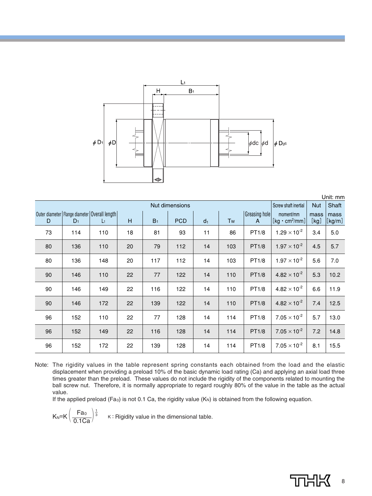

|    |                                                   |                |    |                | Nut dimensions |                |           |                   | Screw shaft inertial                               | <b>Nut</b> | UIIIL. IIIIII<br>Shaft |
|----|---------------------------------------------------|----------------|----|----------------|----------------|----------------|-----------|-------------------|----------------------------------------------------|------------|------------------------|
|    |                                                   |                |    |                |                |                |           |                   |                                                    |            |                        |
|    | Outer diameter   Flange diameter   Overall length |                |    |                |                |                |           | Greasing hole     | moment/mm                                          | mass       | mass                   |
| D  | $D_1$                                             | $\mathsf{L}_1$ | H  | B <sub>1</sub> | <b>PCD</b>     | d <sub>1</sub> | <b>Tw</b> | $\mathsf{A}$      | $\left[\text{kg}\cdot\text{cm}^2/\text{mm}\right]$ | [kg]       | $[\text{kg/m}]$        |
| 73 | 114                                               | 110            | 18 | 81             | 93             | 11             | 86        | PT1/8             | $1.29 \times 10^{-2}$                              | 3.4        | 5.0                    |
| 80 | 136                                               | 110            | 20 | 79             | 112            | 14             | 103       | PT1/8             | $1.97 \times 10^{-2}$                              | 4.5        | 5.7                    |
| 80 | 136                                               | 148            | 20 | 117            | 112            | 14             | 103       | PT1/8             | $1.97 \times 10^{-2}$                              | 5.6        | 7.0                    |
| 90 | 146                                               | 110            | 22 | 77             | 122            | 14             | 110       | PT1/8             | $4.82 \times 10^{-2}$                              | 5.3        | 10.2                   |
| 90 | 146                                               | 149            | 22 | 116            | 122            | 14             | 110       | PT1/8             | $4.82 \times 10^{-2}$                              | 6.6        | 11.9                   |
| 90 | 146                                               | 172            | 22 | 139            | 122            | 14             | 110       | PT1/8             | $4.82 \times 10^{-2}$                              | 7.4        | 12.5                   |
| 96 | 152                                               | 110            | 22 | 77             | 128            | 14             | 114       | PT <sub>1/8</sub> | $7.05 \times 10^{-2}$                              | 5.7        | 13.0                   |
| 96 | 152                                               | 149            | 22 | 116            | 128            | 14             | 114       | PT1/8             | $7.05 \times 10^{-2}$                              | 7.2        | 14.8                   |
| 96 | 152                                               | 172            | 22 | 139            | 128            | 14             | 114       | PT1/8             | $7.05 \times 10^{-2}$                              | 8.1        | 15.5                   |

Note: The rigidity values in the table represent spring constants each obtained from the load and the elastic displacement when providing a preload 10% of the basic dynamic load rating (Ca) and applying an axial load three times greater than the preload. These values do not include the rigidity of the components related to mounting the ball screw nut. Therefore, it is normally appropriate to regard roughly 80% of the value in the table as the actual value.

If the applied preload (Fa<sub>0</sub>) is not 0.1 Ca, the rigidity value (K<sub>N</sub>) is obtained from the following equation.

 $K_N=K\left(\frac{Fa_0}{0.1Ca}\right)^{\frac{1}{3}}$  K: Rigidity value in the dimensional table.  $\frac{1}{3}$ 

Unit: mm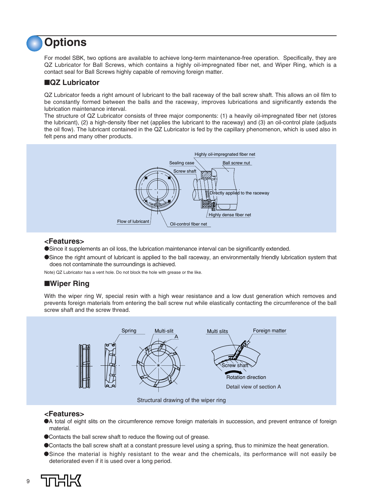# **Options**

For model SBK, two options are available to achieve long-term maintenance-free operation. Specifically, they are QZ Lubricator for Ball Screws, which contains a highly oil-impregnated fiber net, and Wiper Ring, which is a contact seal for Ball Screws highly capable of removing foreign matter.

### ■**QZ Lubricator**

QZ Lubricator feeds a right amount of lubricant to the ball raceway of the ball screw shaft. This allows an oil film to be constantly formed between the balls and the raceway, improves lubrications and significantly extends the lubrication maintenance interval.

The structure of QZ Lubricator consists of three major components: (1) a heavily oil-impregnated fiber net (stores the lubricant), (2) a high-density fiber net (applies the lubricant to the raceway) and (3) an oil-control plate (adjusts the oil flow). The lubricant contained in the QZ Lubricator is fed by the capillary phenomenon, which is used also in felt pens and many other products.



### **<Features>**

●Since it supplements an oil loss, the lubrication maintenance interval can be significantly extended.

●Since the right amount of lubricant is applied to the ball raceway, an environmentally friendly lubrication system that does not contaminate the surroundings is achieved.

Note) QZ Lubricator has a vent hole. Do not block the hole with grease or the like.

### ■**Wiper Ring**

With the wiper ring W, special resin with a high wear resistance and a low dust generation which removes and prevents foreign materials from entering the ball screw nut while elastically contacting the circumference of the ball screw shaft and the screw thread.



#### **<Features>**

- ●A total of eight slits on the circumference remove foreign materials in succession, and prevent entrance of foreign material.
- ●Contacts the ball screw shaft to reduce the flowing out of grease.
- ●Contacts the ball screw shaft at a constant pressure level using a spring, thus to minimize the heat generation.
- ●Since the material is highly resistant to the wear and the chemicals, its performance will not easily be deteriorated even if it is used over a long period.



9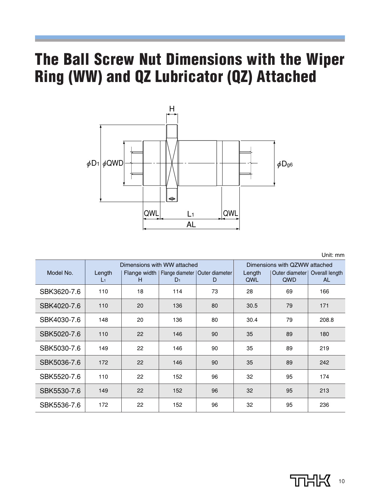# **The Ball Screw Nut Dimensions with the Wiper Ring (WW) and QZ Lubricator (QZ) Attached**



Unit: mm

|             |                          | Dimensions with WW attached |                | Dimensions with QZWW attached                          |               |                       |                             |
|-------------|--------------------------|-----------------------------|----------------|--------------------------------------------------------|---------------|-----------------------|-----------------------------|
| Model No.   | Length<br>$\mathsf{L}_1$ | H                           | D <sub>1</sub> | Flange width   Flange diameter   Outer diameter  <br>D | Length<br>QWL | Outer diameter<br>QWD | Overall length<br><b>AL</b> |
|             |                          |                             |                |                                                        |               |                       |                             |
| SBK3620-7.6 | 110                      | 18                          | 114            | 73                                                     | 28            | 69                    | 166                         |
| SBK4020-7.6 | 110                      | 20                          | 136            | 80                                                     | 30.5          | 79                    | 171                         |
| SBK4030-7.6 | 148                      | 20                          | 136            | 80                                                     | 30.4          | 79                    | 208.8                       |
| SBK5020-7.6 | 110                      | 22                          | 146            | 90                                                     | 35            | 89                    | 180                         |
| SBK5030-7.6 | 149                      | 22                          | 146            | 90                                                     | 35            | 89                    | 219                         |
| SBK5036-7.6 | 172                      | 22                          | 146            | 90                                                     | 35            | 89                    | 242                         |
| SBK5520-7.6 | 110                      | 22                          | 152            | 96                                                     | 32            | 95                    | 174                         |
| SBK5530-7.6 | 149                      | 22                          | 152            | 96                                                     | 32            | 95                    | 213                         |
| SBK5536-7.6 | 172                      | 22                          | 152            | 96                                                     | 32            | 95                    | 236                         |